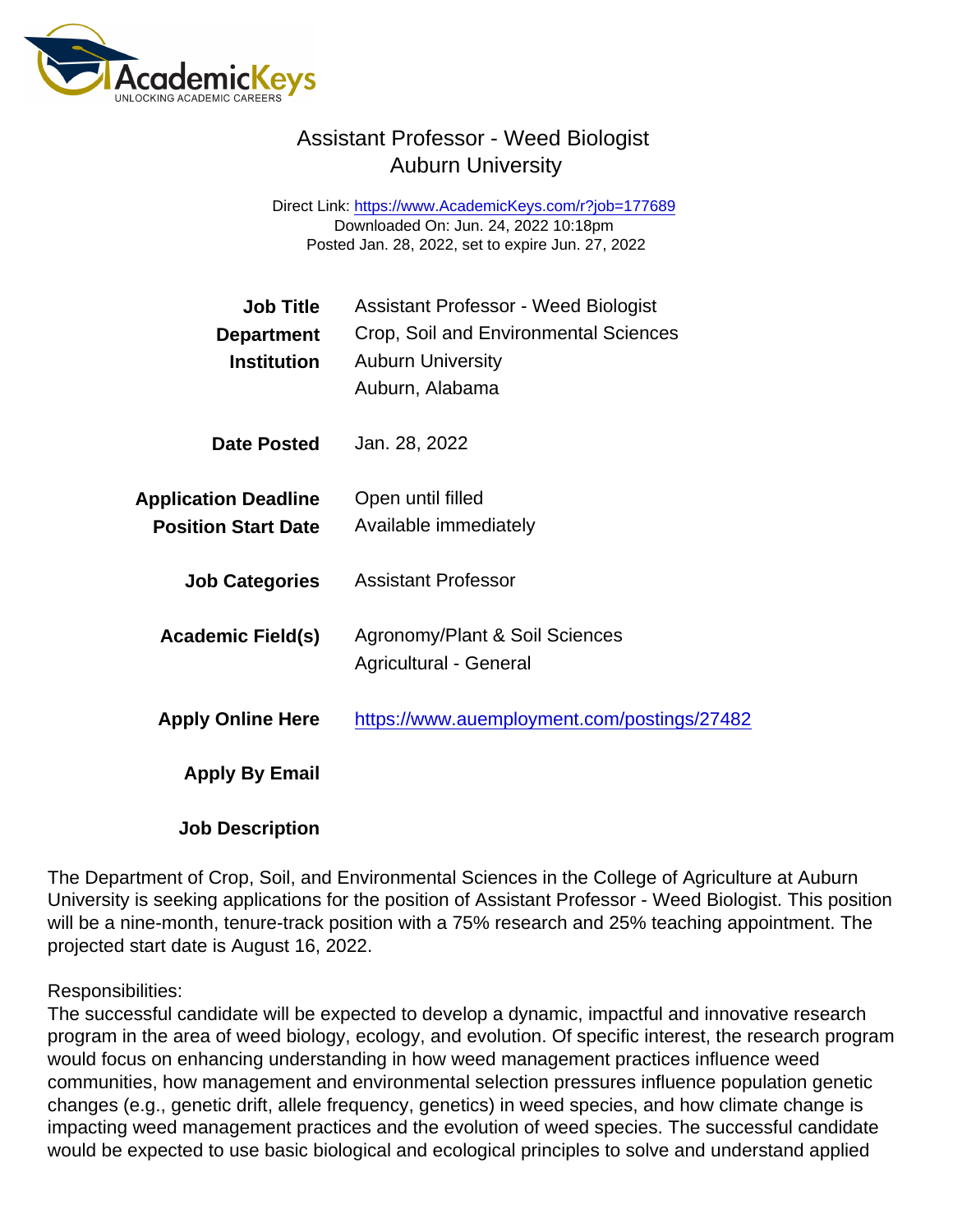## Assistant Professor - Weed Biologist Auburn University

Direct Link: <https://www.AcademicKeys.com/r?job=177689> Downloaded On: Jun. 24, 2022 10:18pm Posted Jan. 28, 2022, set to expire Jun. 27, 2022

| <b>Job Title</b>            | <b>Assistant Professor - Weed Biologist</b> |
|-----------------------------|---------------------------------------------|
| Department                  | Crop, Soil and Environmental Sciences       |
| Institution                 | <b>Auburn University</b>                    |
|                             | Auburn, Alabama                             |
| Date Posted                 | Jan. 28, 2022                               |
| <b>Application Deadline</b> | Open until filled                           |
| <b>Position Start Date</b>  | Available immediately                       |
|                             |                                             |
| <b>Job Categories</b>       | <b>Assistant Professor</b>                  |
|                             |                                             |
| Academic Field(s)           | Agronomy/Plant & Soil Sciences              |
|                             | Agricultural - General                      |
| <b>Apply Online Here</b>    | https://www.auemployment.com/postings/27482 |
| Apply By Email              |                                             |
|                             |                                             |
| <b>Job Description</b>      |                                             |

The Department of Crop, Soil, and Environmental Sciences in the College of Agriculture at Auburn University is seeking applications for the position of Assistant Professor - Weed Biologist. This position will be a nine-month, tenure-track position with a 75% research and 25% teaching appointment. The projected start date is August 16, 2022.

## Responsibilities:

The successful candidate will be expected to develop a dynamic, impactful and innovative research program in the area of weed biology, ecology, and evolution. Of specific interest, the research program would focus on enhancing understanding in how weed management practices influence weed communities, how management and environmental selection pressures influence population genetic changes (e.g., genetic drift, allele frequency, genetics) in weed species, and how climate change is impacting weed management practices and the evolution of weed species. The successful candidate would be expected to use basic biological and ecological principles to solve and understand applied